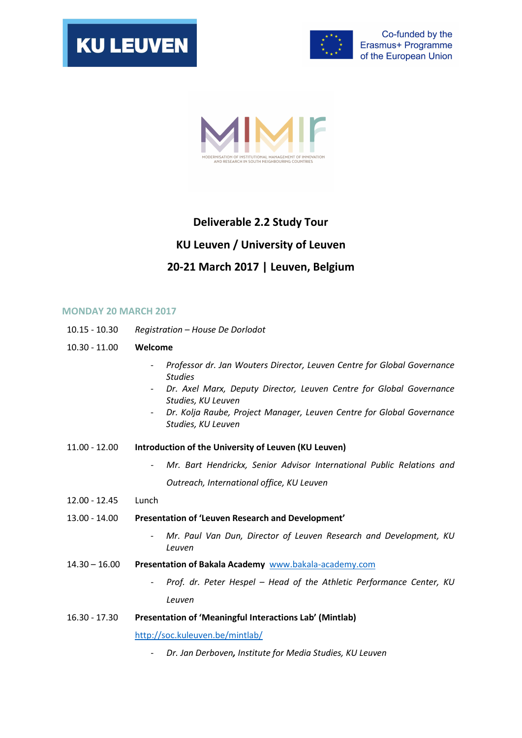

 $\mathsf{I}$ 





## Deliverable 2.2 Study Tour KU Leuven / University of Leuven 20-21 March 2017 | Leuven, Belgium

## MONDAY 20 MARCH 2017

- 10.15 10.30 Registration House De Dorlodot
- 10.30 11.00 Welcome
	- Professor dr. Jan Wouters Director, Leuven Centre for Global Governance Studies
	- Dr. Axel Marx, Deputy Director, Leuven Centre for Global Governance Studies, KU Leuven
	- Dr. Kolja Raube, Project Manager, Leuven Centre for Global Governance Studies, KU Leuven
- 11.00 12.00 Introduction of the University of Leuven (KU Leuven)
	- Mr. Bart Hendrickx, Senior Advisor International Public Relations and Outreach, International office, KU Leuven
- 12.00 12.45 Lunch
- 13.00 14.00 Presentation of 'Leuven Research and Development'
	- Mr. Paul Van Dun, Director of Leuven Research and Development, KU Leuven
- 14.30 16.00 Presentation of Bakala Academy www.bakala-academy.com
	- Prof. dr. Peter Hespel Head of the Athletic Performance Center, KU Leuven
- 16.30 17.30 Presentation of 'Meaningful Interactions Lab' (Mintlab)

http://soc.kuleuven.be/mintlab/

Dr. Jan Derboven, Institute for Media Studies, KU Leuven